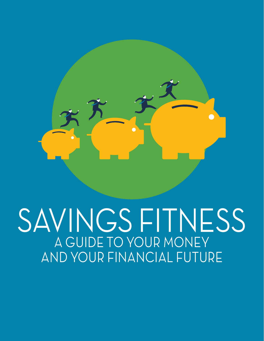

# SAVINGS FITNESS A GUIDE TO YOUR MONEY AND YOUR FINANCIAL FUTURE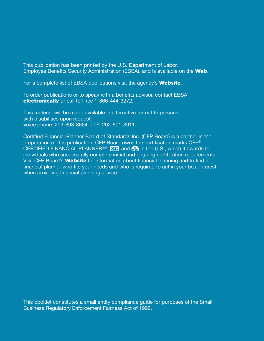This publication has been printed by the U.S. Department of Labor, Employee Benefits Security Administration (EBSA), and is available on the [Web](https://www.dol.gov/agencies/ebsa).

For a complete list of EBSA publications visit the agency's **[Website](https://www.dol.gov/agencies/ebsa/about-ebsa/our-activities/resource-center/publications)**.

To order publications or to speak with a benefits advisor, contact EBSA [electronically](https://www.askebsa.dol.gov) or call toll free 1-866-444-3272.

This material will be made available in alternative format to persons with disabilities upon request: Voice phone: 202-693-8664 TTY: 202-501-3911

Certified Financial Planner Board of Standards Inc. (CFP Board) is a partner in the preparation of this publication. CFP Board owns the certification marks CFP®, CERTIFIED FINANCIAL PLANNER<sup>™</sup>, **GFP** and  $\mathbb{Z}_{\text{FP}}$  in the U.S., which it awards to individuals who successfully complete initial and ongoing certification requirements. Visit CFP Board's **[Website](http://www.LetsMakeAPlan.org)** for information about financial planning and to find a financial planner who fits your needs and who is required to act in your best interest when providing financial planning advice.

This booklet constitutes a small entity compliance guide for purposes of the Small Business Regulatory Enforcement Fairness Act of 1996.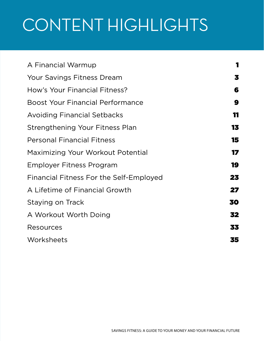# CONTENT HIGHLIGHTS

| A Financial Warmup                      |    |
|-----------------------------------------|----|
| <b>Your Savings Fitness Dream</b>       | 3  |
| How's Your Financial Fitness?           | 6  |
| <b>Boost Your Financial Performance</b> | 9  |
| <b>Avoiding Financial Setbacks</b>      | 11 |
| Strengthening Your Fitness Plan         | 13 |
| <b>Personal Financial Fitness</b>       | 15 |
| Maximizing Your Workout Potential       | 17 |
| <b>Employer Fitness Program</b>         | 19 |
| Financial Fitness For the Self-Employed | 23 |
| A Lifetime of Financial Growth          | 27 |
| Staying on Track                        | 30 |
| A Workout Worth Doing                   | 32 |
| Resources                               | 33 |
| Worksheets                              | 35 |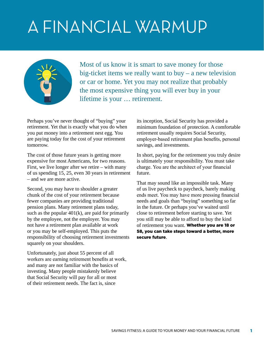# <span id="page-4-0"></span>A FINANCIAL WARMUP



Most of us know it is smart to save money for those big-ticket items we really want to buy – a new television or car or home. Yet you may not realize that probably the most expensive thing you will ever buy in your lifetime is your … retirement.

Perhaps you've never thought of "buying" your retirement. Yet that is exactly what you do when you put money into a retirement nest egg. You are paying today for the cost of your retirement tomorrow.

The cost of those future years is getting more expensive for most Americans, for two reasons. First, we live longer after we retire – with many of us spending 15, 25, even 30 years in retirement – and we are more active.

Second, you may have to shoulder a greater chunk of the cost of your retirement because fewer companies are providing traditional pension plans. Many retirement plans today, such as the popular  $401(k)$ , are paid for primarily by the employee, not the employer. You may not have a retirement plan available at work or you may be self-employed. This puts the responsibility of choosing retirement investments squarely on your shoulders.

Unfortunately, just about 55 percent of all workers are earning retirement benefits at work, and many are not familiar with the basics of investing. Many people mistakenly believe that Social Security will pay for all or most of their retirement needs. The fact is, since

its inception, Social Security has provided a minimum foundation of protection. A comfortable retirement usually requires Social Security, employer-based retirement plan benefits, personal savings, and investments.

In short, paying for the retirement you truly desire is ultimately your responsibility. You must take charge. You are the architect of your financial future.

That may sound like an impossible task. Many of us live paycheck to paycheck, barely making ends meet. You may have more pressing financial needs and goals than "buying" something so far in the future. Or perhaps you've waited until close to retirement before starting to save. Yet you still may be able to afford to buy the kind of retirement you want. Whether you are 18 or 58, you can take steps toward a better, more secure future.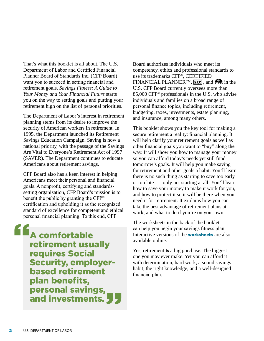That's what this booklet is all about. The U.S. Department of Labor and Certified Financial Planner Board of Standards Inc. (CFP Board) want you to succeed in setting financial and retirement goals. *Savings Fitness: A Guide to Your Money and Your Financial Future* starts you on the way to setting goals and putting your retirement high on the list of personal priorities.

The Department of Labor's interest in retirement planning stems from its desire to improve the security of American workers in retirement. In 1995, the Department launched its Retirement Savings Education Campaign. Saving is now a national priority, with the passage of the Savings Are Vital to Everyone's Retirement Act of 1997 (SAVER). The Department continues to educate Americans about retirement savings.

CFP Board also has a keen interest in helping Americans meet their personal and financial goals. A nonprofit, certifying and standardssetting organization, CFP Board's mission is to benefit the public by granting the CFP® certification and upholding it as the recognized standard of excellence for competent and ethical personal financial planning. To this end, CFP

"

A comfortable retirement usually requires Social Security, employerbased retirement plan benefits, personal savings, and investments. **JJ**  Board authorizes individuals who meet its competency, ethics and professional standards to use its trademarks CFP®, CERTIFIED FINANCIAL PLANNER<sup>TM</sup>, **CFP**, and  $\overrightarrow{CFP}$  in the U.S. CFP Board currently oversees more than 85,000 CFP® professionals in the U.S. who advise individuals and families on a broad range of personal finance topics, including retirement, budgeting, taxes, investments, estate planning, and insurance, among many others.

This booklet shows you the key tool for making a secure retirement a reality: financial planning. It will help clarify your retirement goals as well as other financial goals you want to "buy" along the way. It will show you how to manage your money so you can afford today's needs yet still fund tomorrow's goals. It will help you make saving for retirement and other goals a habit. You'll learn there is no such thing as starting to save too early or too late — only not starting at all! You'll learn how to save your money to make it work for you, and how to protect it so it will be there when you need it for retirement. It explains how you can take the best advantage of retirement plans at work, and what to do if you're on your own.

The worksheets in the back of the booklet can help you begin your savings fitness plan. Interactive versions of the **[worksheets](https://www.askebsa.dol.gov/SavingsFitness/Worksheets)** are also available online.

Yes, retirement is a big purchase. The biggest one you may ever make. Yet you can afford it with determination, hard work, a sound savings habit, the right knowledge, and a well-designed financial plan.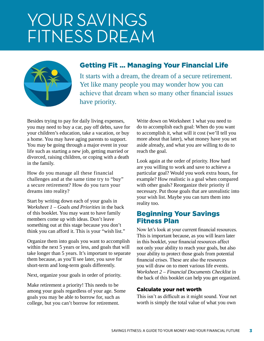# <span id="page-6-0"></span>YOUR SAVINGS FITNESS DREAM



# Getting Fit … Managing Your Financial Life

It starts with a dream, the dream of a secure retirement. Yet like many people you may wonder how you can achieve that dream when so many other financial issues have priority.

Besides trying to pay for daily living expenses, you may need to buy a car, pay off debts, save for your children's education, take a vacation, or buy a home. You may have aging parents to support. You may be going through a major event in your life such as starting a new job, getting married or divorced, raising children, or coping with a death in the family.

How do you manage all these financial challenges and at the same time try to "buy" a secure retirement? How do you turn your dreams into reality?

Start by writing down each of your goals in *Worksheet 1 – Goals and Priorities* in the back of this booklet. You may want to have family members come up with ideas. Don't leave something out at this stage because you don't think you can afford it. This is your "wish list."

Organize them into goals you want to accomplish within the next 5 years or less, and goals that will take longer than 5 years. It's important to separate them because, as you'll see later, you save for short-term and long-term goals differently.

Next, organize your goals in order of priority.

Make retirement a priority! This needs to be among your goals regardless of your age. Some goals you may be able to borrow for, such as college, but you can't borrow for retirement.

Write down on Worksheet 1 what you need to do to accomplish each goal: When do you want to accomplish it, what will it cost (we'll tell you more about that later), what money have you set aside already, and what you are willing to do to reach the goal.

Look again at the order of priority. How hard are you willing to work and save to achieve a particular goal? Would you work extra hours, for example? How realistic is a goal when compared with other goals? Reorganize their priority if necessary. Put those goals that are unrealistic into your wish list. Maybe you can turn them into reality too.

# Beginning Your Savings Fitness Plan

Now let's look at your current financial resources. This is important because, as you will learn later in this booklet, your financial resources affect not only your ability to reach your goals, but also your ability to protect those goals from potential financial crises. These are also the resources you will draw on to meet various life events. *Worksheet 2 – Financial Documents Checklist* in the back of this booklet can help you get organized.

# Calculate your net worth

This isn't as difficult as it might sound. Your net worth is simply the total value of what you own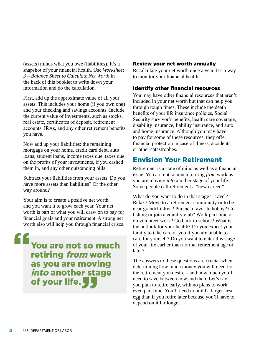(assets) minus what you owe (liabilities). It's a snapshot of your financial health. Use *Worksheet 3 – Balance Sheet to Calculate Net Worth* in the back of this booklet to write down your information and do the calculation.

First, add up the approximate value of all your assets. This includes your home (if you own one) and your checking and savings accounts. Include the current value of investments, such as stocks, real estate, certificates of deposit, retirement accounts, IRAs, and any other retirement benefits you have.

Now add up your liabilities: the remaining mortgage on your home, credit card debt, auto loans, student loans, income taxes due, taxes due on the profits of your investments, if you cashed them in, and any other outstanding bills.

Subtract your liabilities from your assets. Do you have more assets than liabilities? Or the other way around?

Your aim is to create a positive net worth, and you want it to grow each year. Your net worth is part of what you will draw on to pay for financial goals and your retirement. A strong net worth also will help you through financial crises.

# "

You are not so much retiring from work as you are moving into another stage of your life. JJ

# Review your net worth annually

Recalculate your net worth once a year. It's a way to monitor your financial health.

# Identify other financial resources

You may have other financial resources that aren't included in your net worth but that can help you through tough times. These include the death benefits of your life insurance policies, Social Security survivor's benefits, health care coverage, disability insurance, liability insurance, and auto and home insurance. Although you may have to pay for some of these resources, they offer financial protection in case of illness, accidents, or other catastrophes.

# Envision Your Retirement

Retirement is a state of mind as well as a financial issue. You are not so much retiring *from* work as you are moving *into* another stage of your life. Some people call retirement a "new career."

What do you want to do in that stage? Travel? Relax? Move to a retirement community or to be near grandchildren? Pursue a favorite hobby? Go fishing or join a country club? Work part time or do volunteer work? Go back to school? What is the outlook for your health? Do you expect your family to take care of you if you are unable to care for yourself? Do you want to enter this stage of your life earlier than normal retirement age or later?

The answers to these questions are crucial when determining how much money you will need for the retirement you desire – and how much you'll need to save between now and then. Let's say you plan to retire early, with no plans to work even part time. You'll need to build a larger nest egg than if you retire later because you'll have to depend on it far longer.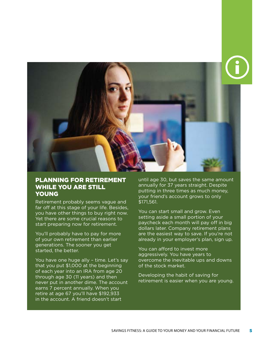

# PLANNING FOR RETIREMENT WHILE YOU ARE STILL YOUNG

Retirement probably seems vague and far off at this stage of your life. Besides, you have other things to buy right now. Yet there are some crucial reasons to start preparing now for retirement.

You'll probably have to pay for more of your own retirement than earlier generations. The sooner you get started, the better.

You have one huge ally - time. Let's say that you put \$1,000 at the beginning of each year into an IRA from age 20 through age 30 (11 years) and then never put in another dime. The account earns 7 percent annually. When you retire at age 67 you'll have \$192,933 in the account. A friend doesn't start

until age 30, but saves the same amount annually for 37 years straight. Despite putting in three times as much money, your friend's account grows to only \$171,561.

You can start small and grow. Even setting aside a small portion of your paycheck each month will pay off in big dollars later. Company retirement plans are the easiest way to save. If you're not already in your employer's plan, sign up.

You can afford to invest more aggressively. You have years to overcome the inevitable ups and downs of the stock market.

Developing the habit of saving for retirement is easier when you are young.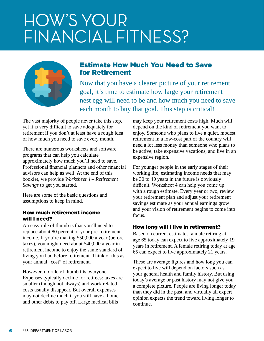# <span id="page-9-0"></span>HOW'S YOUR FINANCIAL FITNESS?



# Estimate How Much You Need to Save for Retirement

Now that you have a clearer picture of your retirement goal, it's time to estimate how large your retirement nest egg will need to be and how much you need to save each month to buy that goal. This step is critical!

The vast majority of people never take this step, yet it is very difficult to save adequately for retirement if you don't at least have a rough idea of how much you need to save every month.

There are numerous worksheets and software programs that can help you calculate approximately how much you'll need to save. Professional financial planners and other financial advisors can help as well. At the end of this booklet, we provide *Worksheet 4 – Retirement Savings* to get you started.

Here are some of the basic questions and assumptions to keep in mind.

# How much retirement income will I need?

An easy rule of thumb is that you'll need to replace about 80 percent of your pre-retirement income. If you're making \$50,000 a year (before taxes), you might need about \$40,000 a year in retirement income to enjoy the same standard of living you had before retirement. Think of this as your annual "cost" of retirement.

However, no rule of thumb fits everyone. Expenses typically decline for retirees: taxes are smaller (though not always) and work-related costs usually disappear. But overall expenses may not decline much if you still have a home and other debts to pay off. Large medical bills

may keep your retirement costs high. Much will depend on the kind of retirement you want to enjoy. Someone who plans to live a quiet, modest retirement in a low-cost part of the country will need a lot less money than someone who plans to be active, take expensive vacations, and live in an expensive region.

For younger people in the early stages of their working life, estimating income needs that may be 30 to 40 years in the future is obviously difficult. Worksheet 4 can help you come up with a rough estimate. Every year or two, review your retirement plan and adjust your retirement savings estimate as your annual earnings grow and your vision of retirement begins to come into focus.

# How long will I live in retirement?

Based on current estimates, a male retiring at age 65 today can expect to live approximately 19 years in retirement. A female retiring today at age 65 can expect to live approximately 21 years.

These are average figures and how long you can expect to live will depend on factors such as your general health and family history. But using today's average or past history may not give you a complete picture. People are living longer today than they did in the past, and virtually all expert opinion expects the trend toward living longer to continue.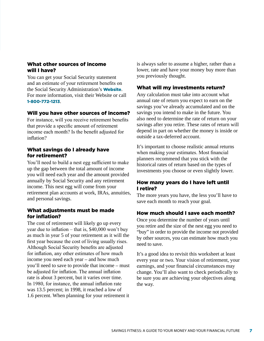#### What other sources of income will I have?

You can get your Social Security statement and an estimate of your retirement benefits on the Social Security Administration's **[Website](http://www.socialsecurity.gov/myaccount)**. For more information, visit their Website or call 1-800-772-1213.

### Will you have other sources of income?

For instance, will you receive retirement benefits that provide a specific amount of retirement income each month? Is the benefit adjusted for inflation?

# What savings do I already have for retirement?

You'll need to build a nest egg sufficient to make up the gap between the total amount of income you will need each year and the amount provided annually by Social Security and any retirement income. This nest egg will come from your retirement plan accounts at work, IRAs, annuities, and personal savings.

# What adjustments must be made for inflation?

The cost of retirement will likely go up every year due to inflation – that is, \$40,000 won't buy as much in year 5 of your retirement as it will the first year because the cost of living usually rises. Although Social Security benefits are adjusted for inflation, any other estimates of how much income you need each year – and how much you'll need to save to provide that income – must be adjusted for inflation. The annual inflation rate is about 3 percent, but it varies over time. In 1980, for instance, the annual inflation rate was 13.5 percent; in 1998, it reached a low of 1.6 percent. When planning for your retirement it

is always safer to assume a higher, rather than a lower, rate and have your money buy more than you previously thought.

# What will my investments return?

Any calculation must take into account what annual rate of return you expect to earn on the savings you've already accumulated and on the savings you intend to make in the future. You also need to determine the rate of return on your savings after you retire. These rates of return will depend in part on whether the money is inside or outside a tax-deferred account.

It's important to choose realistic annual returns when making your estimates. Most financial planners recommend that you stick with the historical rates of return based on the types of investments you choose or even slightly lower.

# How many years do I have left until I retire?

The more years you have, the less you'll have to save each month to reach your goal.

# How much should I save each month?

Once you determine the number of years until you retire and the size of the nest egg you need to "buy" in order to provide the income not provided by other sources, you can estimate how much you need to save.

It's a good idea to revisit this worksheet at least every year or two. Your vision of retirement, your earnings, and your financial circumstances may change. You'll also want to check periodically to be sure you are achieving your objectives along the way.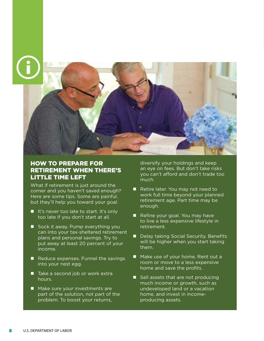



# HOW TO PREPARE FOR RETIREMENT WHEN THERE'S LITTLE TIME LEFT

What if retirement is just around the corner and you haven't saved enough? Here are some tips. Some are painful, but they'll help you toward your goal.

- $\blacksquare$  It's never too late to start. It's only too late if you don't start at all.
- Sock it away. Pump everything you can into your tax-sheltered retirement plans and personal savings. Try to put away at least 20 percent of your income.
- $\blacksquare$  Reduce expenses. Funnel the savings into your nest egg.
- $\blacksquare$  Take a second job or work extra hours.
- Make sure your investments are part of the solution, not part of the problem. To boost your returns,

diversify your holdings and keep an eye on fees. But don't take risks you can't afford and don't trade too much.

- Retire later. You may not need to work full time beyond your planned retirement age. Part time may be enough.
- Refine your goal. You may have to live a less expensive lifestyle in retirement.
- Delay taking Social Security. Benefits will be higher when you start taking them.
- Make use of your home. Rent out a room or move to a less expensive home and save the profits.
- $\blacksquare$  Sell assets that are not producing much income or growth, such as undeveloped land or a vacation home, and invest in incomeproducing assets.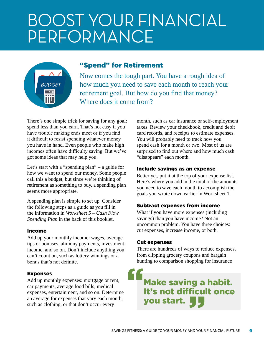# <span id="page-12-0"></span>BOOST YOUR FINANCIAL PERFORMANCE



# "Spend" for Retirement

Now comes the tough part. You have a rough idea of how much you need to save each month to reach your retirement goal. But how do you find that money? Where does it come from?

There's one simple trick for saving for any goal: spend less than you earn. That's not easy if you have trouble making ends meet or if you find it difficult to resist spending whatever money you have in hand. Even people who make high incomes often have difficulty saving. But we've got some ideas that may help you.

Let's start with a "spending plan" – a guide for how we want to spend our money. Some people call this a budget, but since we're thinking of retirement as something to buy, a spending plan seems more appropriate.

A spending plan is simple to set up. Consider the following steps as a guide as you fill in the information in *Worksheet 5* – *Cash Flow Spending Plan* in the back of this booklet.

#### Income

Add up your monthly income: wages, average tips or bonuses, alimony payments, investment income, and so on. Don't include anything you can't count on, such as lottery winnings or a bonus that's not definite.

# Expenses

Add up monthly expenses: mortgage or rent, car payments, average food bills, medical expenses, entertainment, and so on. Determine an average for expenses that vary each month, such as clothing, or that don't occur every

month, such as car insurance or self-employment taxes. Review your checkbook, credit and debit card records, and receipts to estimate expenses. You will probably need to track how you spend cash for a month or two. Most of us are surprised to find out where and how much cash "disappears" each month.

#### Include savings as an expense

Better yet, put it at the top of your expense list. Here's where you add in the total of the amounts you need to save each month to accomplish the goals you wrote down earlier in Worksheet 1.

# Subtract expenses from income

What if you have more expenses (including savings) than you have income? Not an uncommon problem. You have three choices: cut expenses, increase income, or both.

#### Cut expenses

There are hundreds of ways to reduce expenses, from clipping grocery coupons and bargain hunting to comparison shopping for insurance

# Make saving a habit. It's not difficult once you start. " **JJ**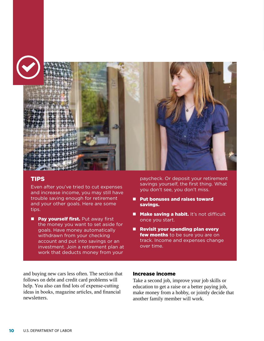

# TIPS

Even after you've tried to cut expenses and increase income, you may still have trouble saving enough for retirement and your other goals. Here are some tips.

**Pay yourself first.** Put away first the money you want to set aside for goals. Have money automatically withdrawn from your checking account and put into savings or an investment. Join a retirement plan at work that deducts money from your

paycheck. Or deposit your retirement savings yourself, the first thing. What you don't see, you don't miss.

- **n** Put bonuses and raises toward savings.
- **n Make saving a habit.** It's not difficult once you start.
- **n** Revisit your spending plan every few months to be sure you are on track. Income and expenses change over time.

and buying new cars less often. The section that follows on debt and credit card problems will help. You also can find lots of expense-cutting ideas in books, magazine articles, and financial newsletters.

#### Increase income

Take a second job, improve your job skills or education to get a raise or a better paying job, make money from a hobby, or jointly decide that another family member will work.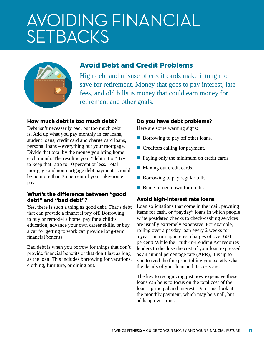# <span id="page-14-0"></span>AVOIDING FINANCIAL SETBACKS



# Avoid Debt and Credit Problems

High debt and misuse of credit cards make it tough to save for retirement. Money that goes to pay interest, late fees, and old bills is money that could earn money for retirement and other goals.

# How much debt is too much debt?

Debt isn't necessarily bad, but too much debt is. Add up what you pay monthly in car loans, student loans, credit card and charge card loans, personal loans – everything but your mortgage. Divide that total by the money you bring home each month. The result is your "debt ratio." Try to keep that ratio to 10 percent or less. Total mortgage and nonmortgage debt payments should be no more than 36 percent of your take-home pay.

# What's the difference between "good debt" and "bad debt"?

Yes, there is such a thing as good debt. That's debt that can provide a financial pay off. Borrowing to buy or remodel a home, pay for a child's education, advance your own career skills, or buy a car for getting to work can provide long-term financial benefits.

Bad debt is when you borrow for things that don't provide financial benefits or that don't last as long as the loan. This includes borrowing for vacations, clothing, furniture, or dining out.

# Do you have debt problems?

Here are some warning signs:

- Borrowing to pay off other loans.
- Creditors calling for payment.
- $\blacksquare$  Paying only the minimum on credit cards.
- $\blacksquare$  Maxing out credit cards.
- Borrowing to pay regular bills.
- Being turned down for credit.

# Avoid high-interest rate loans

Loan solicitations that come in the mail, pawning items for cash, or "payday" loans in which people write postdated checks to check-cashing services are usually extremely expensive. For example, rolling over a payday loan every 2 weeks for a year can run up interest charges of over 600 percent! While the Truth-in-Lending Act requires lenders to disclose the cost of your loan expressed as an annual percentage rate (APR), it is up to you to read the fine print telling you exactly what the details of your loan and its costs are.

The key to recognizing just how expensive these loans can be is to focus on the total cost of the loan – principal and interest. Don't just look at the monthly payment, which may be small, but adds up over time.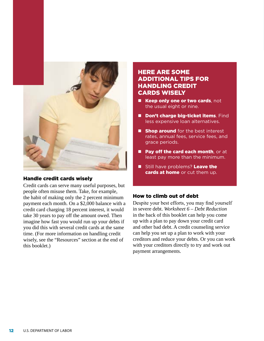

#### Handle credit cards wisely

Credit cards can serve many useful purposes, but people often misuse them. Take, for example, the habit of making only the 2 percent minimum payment each month. On a \$2,000 balance with a credit card charging 18 percent interest, it would take 30 years to pay off the amount owed. Then imagine how fast you would run up your debts if you did this with several credit cards at the same time. (For more information on handling credit wisely, see the "Resources" section at the end of this booklet.)

# HERE ARE SOME ADDITIONAL TIPS FOR HANDLING CREDIT CARDS WISELY

- $\blacksquare$  Keep only one or two cards, not the usual eight or nine.
- Don't charge big-ticket items. Find less expensive loan alternatives.
- **n** Shop around for the best interest rates, annual fees, service fees, and grace periods.
- **n Pay off the card each month, or at** least pay more than the minimum.
- Still have problems? Leave the cards at home or cut them up.

# How to climb out of debt

Despite your best efforts, you may find yourself in severe debt. *Worksheet 6* – *Debt Reduction* in the back of this booklet can help you come up with a plan to pay down your credit card and other bad debt. A credit counseling service can help you set up a plan to work with your creditors and reduce your debts. Or you can work with your creditors directly to try and work out payment arrangements.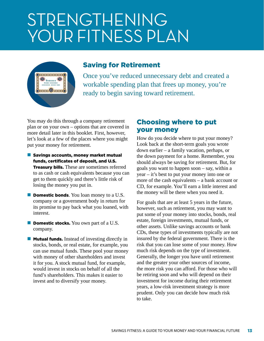# <span id="page-16-0"></span>STRENGTHENING YOUR FITNESS PLAN



# Saving for Retirement

Once you've reduced unnecessary debt and created a workable spending plan that frees up money, you're ready to begin saving toward retirement.

You may do this through a company retirement plan or on your own – options that are covered in more detail later in this booklet. First, however, let's look at a few of the places where you might put your money for retirement.

 $\blacksquare$  Savings accounts, money market mutual funds, certificates of deposit, and U.S. **Treasury bills.** These are sometimes referred to as cash or cash equivalents because you can get to them quickly and there's little risk of losing the money you put in.

- $\blacksquare$  Domestic bonds. You loan money to a U.S. company or a government body in return for its promise to pay back what you loaned, with interest.
- $\blacksquare$  Domestic stocks. You own part of a U.S. company.

 $\blacksquare$  Mutual funds. Instead of investing directly in stocks, bonds, or real estate, for example, you can use mutual funds. These pool your money with money of other shareholders and invest it for you. A stock mutual fund, for example, would invest in stocks on behalf of all the fund's shareholders. This makes it easier to invest and to diversify your money.

# Choosing where to put your money

How do you decide where to put your money? Look back at the short-term goals you wrote down earlier – a family vacation, perhaps, or the down payment for a home. Remember, you should always be saving for retirement. But, for goals you want to happen soon – say, within a year – it's best to put your money into one or more of the cash equivalents – a bank account or CD, for example. You'll earn a little interest and the money will be there when you need it.

For goals that are at least 5 years in the future, however, such as retirement, you may want to put some of your money into stocks, bonds, real estate, foreign investments, mutual funds, or other assets. Unlike savings accounts or bank CDs, these types of investments typically are not insured by the federal government. There is the risk that you can lose some of your money. How much risk depends on the type of investment. Generally, the longer you have until retirement and the greater your other sources of income, the more risk you can afford. For those who will be retiring soon and who will depend on their investment for income during their retirement years, a low-risk investment strategy is more prudent. Only you can decide how much risk to take.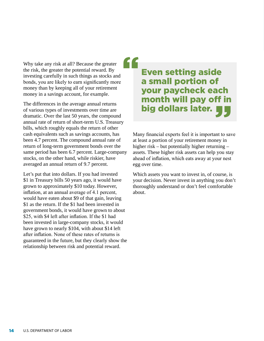Why take any risk at all? Because the greater the risk, the greater the potential reward. By investing carefully in such things as stocks and bonds, you are likely to earn significantly more money than by keeping all of your retirement money in a savings account, for example.

The differences in the average annual returns of various types of investments over time are dramatic. Over the last 50 years, the compound annual rate of return of short-term U.S. Treasury bills, which roughly equals the return of other cash equivalents such as savings accounts, has been 4.7 percent. The compound annual rate of return of long-term government bonds over the same period has been 6.7 percent. Large-company stocks, on the other hand, while riskier, have averaged an annual return of 9.7 percent.

Let's put that into dollars. If you had invested \$1 in Treasury bills 50 years ago, it would have grown to approximately \$10 today. However, inflation, at an annual average of 4.1 percent, would have eaten about \$9 of that gain, leaving \$1 as the return. If the \$1 had been invested in government bonds, it would have grown to about \$25, with \$4 left after inflation. If the \$1 had been invested in large-company stocks, it would have grown to nearly \$104, with about \$14 left after inflation. None of these rates of returns is guaranteed in the future, but they clearly show the relationship between risk and potential reward.

"  $\frac{1}{2}$ Even setting aside a small portion of your paycheck each month will pay off in big dollars later.

Many financial experts feel it is important to save at least a portion of your retirement money in higher risk – but potentially higher returning – assets. These higher risk assets can help you stay ahead of inflation, which eats away at your nest egg over time.

Which assets you want to invest in, of course, is your decision. Never invest in anything you don't thoroughly understand or don't feel comfortable about.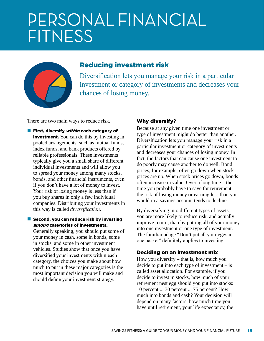# <span id="page-18-0"></span>PERSONAL FINANCIAL **FITNESS**



# Reducing investment risk

Diversification lets you manage your risk in a particular investment or category of investments and decreases your chances of losing money.

There are two main ways to reduce risk.

First, diversify within each category of **investment.** You can do this by investing in pooled arrangements, such as mutual funds, index funds, and bank products offered by reliable professionals. These investments typically give you a small share of different individual investments and will allow you to spread your money among many stocks, bonds, and other financial instruments, even if you don't have a lot of money to invest. Your risk of losing money is less than if you buy shares in only a few individual companies. Distributing your investments in this way is called *diversification*.

#### $\blacksquare$  Second, you can reduce risk by investing among categories of investments.

Generally speaking, you should put some of your money in cash, some in bonds, some in stocks, and some in other investment vehicles. Studies show that once you have diversified your investments within each category, the choices you make about how much to put in these major categories is the most important decision you will make and should define your investment strategy.

#### Why diversify?

Because at any given time one investment or type of investment might do better than another. Diversification lets you manage your risk in a particular investment or category of investments and decreases your chances of losing money. In fact, the factors that can cause one investment to do poorly may cause another to do well. Bond prices, for example, often go down when stock prices are up. When stock prices go down, bonds often increase in value. Over a long time – the time you probably have to save for retirement – the risk of losing money or earning less than you would in a savings account tends to decline.

By diversifying into different types of assets, you are more likely to reduce risk, and actually improve return, than by putting all of your money into one investment or one type of investment. The familiar adage "Don't put all your eggs in one basket" definitely applies to investing.

# Deciding on an investment mix

How you diversify – that is, how much you decide to put into each type of investment – is called asset allocation. For example, if you decide to invest in stocks, how much of your retirement nest egg should you put into stocks: 10 percent ... 30 percent ... 75 percent? How much into bonds and cash? Your decision will depend on many factors: how much time you have until retirement, your life expectancy, the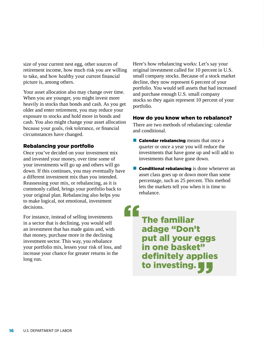size of your current nest egg, other sources of retirement income, how much risk you are willing to take, and how healthy your current financial picture is, among others.

Your asset allocation also may change over time. When you are younger, you might invest more heavily in stocks than bonds and cash. As you get older and enter retirement, you may reduce your exposure to stocks and hold more in bonds and cash. You also might change your asset allocation because your goals, risk tolerance, or financial circumstances have changed.

# Rebalancing your portfolio

Once you've decided on your investment mix and invested your money, over time some of your investments will go up and others will go down. If this continues, you may eventually have a different investment mix than you intended. Reassessing your mix, or rebalancing, as it is commonly called, brings your portfolio back to your original plan. Rebalancing also helps you to make logical, not emotional, investment decisions.

For instance, instead of selling investments in a sector that is declining, you would sell an investment that has made gains and, with that money, purchase more in the declining investment sector. This way, you rebalance your portfolio mix, lessen your risk of loss, and increase your chance for greater returns in the long run.

Here's how rebalancing works: Let's say your original investment called for 10 percent in U.S. small company stocks. Because of a stock market decline, they now represent 6 percent of your portfolio. You would sell assets that had increased and purchase enough U.S. small company stocks so they again represent 10 percent of your portfolio.

# How do you know when to rebalance?

There are two methods of rebalancing: calendar and conditional.

- $\blacksquare$  Calendar rebalancing means that once a quarter or once a year you will reduce the investments that have gone up and will add to investments that have gone down.
- **Conditional rebalancing** is done whenever an asset class goes up or down more than some percentage, such as 25 percent. This method lets the markets tell you when it is time to rebalance.

The familiar adage "Don't put all your eggs in one basket" definitely applies to investing. **JJ** "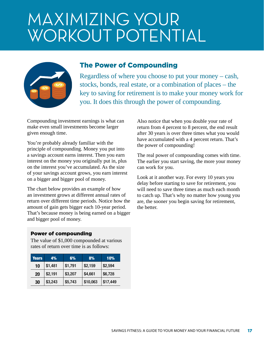# <span id="page-20-0"></span>MAXIMIZING YOUR WORKOUT POTENTIAL



# The Power of Compounding

Regardless of where you choose to put your money – cash, stocks, bonds, real estate, or a combination of places – the key to saving for retirement is to make your money work for you. It does this through the power of compounding.

Compounding investment earnings is what can make even small investments become larger given enough time.

You're probably already familiar with the principle of compounding. Money you put into a savings account earns interest. Then you earn interest on the money you originally put in, plus on the interest you've accumulated. As the size of your savings account grows, you earn interest on a bigger and bigger pool of money.

The chart below provides an example of how an investment grows at different annual rates of return over different time periods. Notice how the amount of gain gets bigger each 10-year period. That's because money is being earned on a bigger and bigger pool of money.

Also notice that when you double your rate of return from 4 percent to 8 percent, the end result after 30 years is over three times what you would have accumulated with a 4 percent return. That's the power of compounding!

The real power of compounding comes with time. The earlier you start saving, the more your money can work for you.

Look at it another way. For every 10 years you delay before starting to save for retirement, you will need to save three times as much each month to catch up. That's why no matter how young you are, the sooner you begin saving for retirement, the better.

# Power of compounding

The value of \$1,000 compounded at various rates of return over time is as follows:

| <b>Years</b> | 4%      | 6%      | 8%       | <b>10%</b> |
|--------------|---------|---------|----------|------------|
| 10           | \$1,481 | \$1,791 | \$2,159  | \$2,594    |
| 20           | \$2,191 | \$3,207 | \$4,661  | \$6,728    |
| 30           | \$3,243 | \$5,743 | \$10,063 | \$17,449   |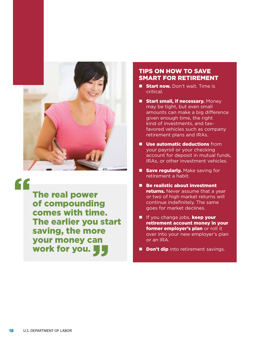

# "

The real power of compounding comes with time. The earlier you start saving, the more your money can work for you.

# TIPS ON HOW TO SAVE SMART FOR RETIREMENT

- **E** Start now. Don't wait. Time is critical.
- **E** Start small, if necessary. Money may be tight, but even small amounts can make a big difference given enough time, the right kind of investments, and taxfavored vehicles such as company retirement plans and IRAs.
- **u** Use automatic deductions from your payroll or your checking account for deposit in mutual funds, IRAs, or other investment vehicles.
- **E** Save regularly. Make saving for retirement a habit.
- Be realistic about investment returns. Never assume that a year or two of high market returns will continue indefinitely. The same goes for market declines.
- **n** If you change jobs, **keep your** retirement account money in your former employer's plan or roll it over into your new employer's plan or an IRA.
- **Don't dip** into retirement savings.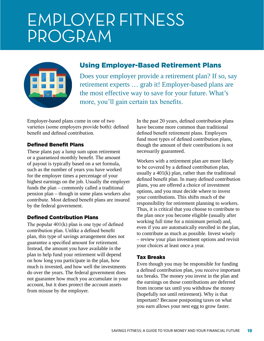# <span id="page-22-0"></span>EMPLOYER FITNESS PROGRAM



# Using Employer-Based Retirement Plans

Does your employer provide a retirement plan? If so, say retirement experts … grab it! Employer-based plans are the most effective way to save for your future. What's more, you'll gain certain tax benefits.

Employer-based plans come in one of two varieties (some employers provide both): defined benefit and defined contribution.

# Defined Benefit Plans

These plans pay a lump sum upon retirement or a guaranteed monthly benefit. The amount of payout is typically based on a set formula, such as the number of years you have worked for the employer times a percentage of your highest earnings on the job. Usually the employer funds the plan – commonly called a traditional pension plan – though in some plans workers also contribute. Most defined benefit plans are insured by the federal government.

# Defined Contribution Plans

The popular 401(k) plan is one type of defined contribution plan. Unlike a defined benefit plan, this type of savings arrangement does not guarantee a specified amount for retirement. Instead, the amount you have available in the plan to help fund your retirement will depend on how long you participate in the plan, how much is invested, and how well the investments do over the years. The federal government does not guarantee how much you accumulate in your account, but it does protect the account assets from misuse by the employer.

In the past 20 years, defined contribution plans have become more common than traditional defined benefit retirement plans. Employers fund most types of defined contribution plans, though the amount of their contributions is not necessarily guaranteed.

Workers with a retirement plan are more likely to be covered by a defined contribution plan, usually a 401(k) plan, rather than the traditional defined benefit plan. In many defined contribution plans, you are offered a choice of investment options, and you must decide where to invest your contributions. This shifts much of the responsibility for retirement planning to workers. Thus, it is critical that you choose to contribute to the plan once you become eligible (usually after working full time for a minimum period) and, even if you are automatically enrolled in the plan, to contribute as much as possible. Invest wisely – review your plan investment options and revisit your choices at least once a year.

# Tax Breaks

Even though you may be responsible for funding a defined contribution plan, you receive important tax breaks. The money you invest in the plan and the earnings on those contributions are deferred from income tax until you withdraw the money (hopefully not until retirement). Why is that important? Because postponing taxes on what you earn allows your nest egg to grow faster.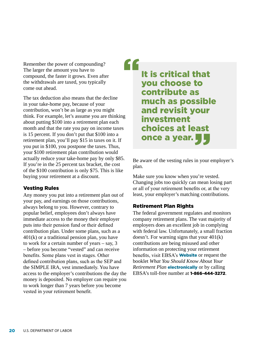Remember the power of compounding? The larger the amount you have to compound, the faster it grows. Even after the withdrawals are taxed, you typically come out ahead.

The tax deduction also means that the decline in your take-home pay, because of your contribution, won't be as large as you might think. For example, let's assume you are thinking about putting \$100 into a retirement plan each month and that the rate you pay on income taxes is 15 percent. If you don't put that \$100 into a retirement plan, you'll pay \$15 in taxes on it. If you put in \$100, you postpone the taxes. Thus, your \$100 retirement plan contribution would actually reduce your take-home pay by only \$85. If you're in the 25 percent tax bracket, the cost of the \$100 contribution is only \$75. This is like buying your retirement at a discount.

#### Vesting Rules

Any money you put into a retirement plan out of your pay, and earnings on those contributions, always belong to you. However, contrary to popular belief, employees don't always have immediate access to the money their employer puts into their pension fund or their defined contribution plan. Under some plans, such as a  $401(k)$  or a traditional pension plan, you have to work for a certain number of years – say, 3 – before you become "vested" and can receive benefits. Some plans vest in stages. Other defined contribution plans, such as the SEP and the SIMPLE IRA, vest immediately. You have access to the employer's contributions the day the money is deposited. No employer can require you to work longer than 7 years before you become vested in your retirement benefit.

once a year.<br>Be aware of the vesting rules in your employer's It is critical that you choose to contribute as much as possible and revisit your investment choices at least once a year. "

plan.

Make sure you know when you're vested. Changing jobs too quickly can mean losing part or all of your retirement benefits or, at the very least, your employer's matching contributions.

#### Retirement Plan Rights

The federal government regulates and monitors company retirement plans. The vast majority of employers does an excellent job in complying with federal law. Unfortunately, a small fraction doesn't. For warning signs that your 401(k) contributions are being misused and other information on protecting your retirement benefits, visit EBSA's **[Website](https://www.dol.gov/agencies/ebsa/workers-and-families)** or request the booklet *What You Should Know About Your Retirement Plan* [electronically](https://www.askebsa.dol.gov) or by calling EBSA's toll-free number at 1-866-444-3272.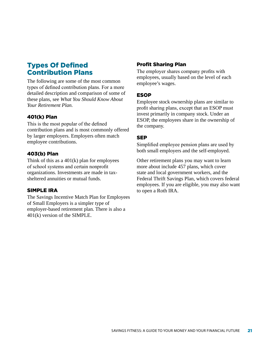# Types Of Defined Contribution Plans

The following are some of the most common types of defined contribution plans. For a more detailed description and comparison of some of these plans, see *What You Should Know About Your Retirement Plan.*

# 401(k) Plan

This is the most popular of the defined contribution plans and is most commonly offered by larger employers. Employers often match employee contributions.

# 403(b) Plan

Think of this as a  $401(k)$  plan for employees of school systems and certain nonprofit organizations. Investments are made in taxsheltered annuities or mutual funds.

# SIMPLE IRA

The Savings Incentive Match Plan for Employees of Small Employers is a simpler type of employer-based retirement plan. There is also a 401(k) version of the SIMPLE.

# Profit Sharing Plan

The employer shares company profits with employees, usually based on the level of each employee's wages.

# ESOP

Employee stock ownership plans are similar to profit sharing plans, except that an ESOP must invest primarily in company stock. Under an ESOP, the employees share in the ownership of the company.

# **SEP**

Simplified employee pension plans are used by both small employers and the self-employed.

Other retirement plans you may want to learn more about include 457 plans, which cover state and local government workers, and the Federal Thrift Savings Plan, which covers federal employees. If you are eligible, you may also want to open a Roth IRA.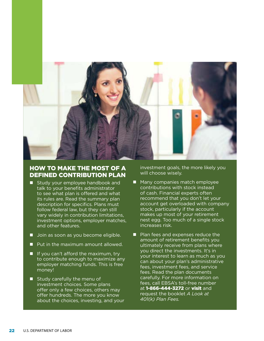

# HOW TO MAKE THE MOST OF A DEFINED CONTRIBUTION PLAN

- **E** Study your employee handbook and talk to your benefits administrator to see what plan is offered and what its rules are. Read the summary plan description for specifics. Plans must follow federal law, but they can still vary widely in contribution limitations, investment options, employer matches, and other features.
- **D** Join as soon as you become eligible.
- $\blacksquare$  Put in the maximum amount allowed.
- $\blacksquare$  If you can't afford the maximum, try to contribute enough to maximize any employer matching funds. This is free money!
- Study carefully the menu of investment choices. Some plans offer only a few choices, others may offer hundreds. The more you know about the choices, investing, and your

investment goals, the more likely you will choose wisely.

- Many companies match employee contributions with stock instead of cash. Financial experts often recommend that you don't let your account get overloaded with company stock, particularly if the account makes up most of your retirement nest egg. Too much of a single stock increases risk.
- $\blacksquare$  Plan fees and expenses reduce the amount of retirement benefits you ultimately receive from plans where you direct the investments. It's in your interest to learn as much as you can about your plan's administrative fees, investment fees, and service fees. Read the plan documents carefully. For more information on fees, call EBSA's toll-free number at 1-866-444-3272 or [visit](https://www.dol.gov/sites/dolgov/files/EBSA/about-ebsa/our-activities/resource-center/publications/a-look-at-401k-plan-fees.pdf) and request the booklet *A Look at 401(k) Plan Fees.*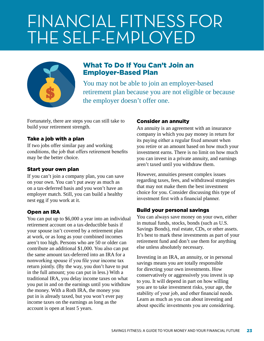# <span id="page-26-0"></span>FINANCIAL FITNESS FOR THE SELF-EMPLOYED



# What To Do If You Can't Join an Employer-Based Plan

You may not be able to join an employer-based retirement plan because you are not eligible or because the employer doesn't offer one.

Fortunately, there are steps you can still take to build your retirement strength.

# Take a job with a plan

If two jobs offer similar pay and working conditions, the job that offers retirement benefits may be the better choice.

# Start your own plan

If you can't join a company plan, you can save on your own. You can't put away as much as on a tax-deferred basis and you won't have an employer match. Still, you can build a healthy nest egg if you work at it.

# Open an IRA

You can put up to \$6,000 a year into an individual retirement account on a tax-deductible basis if your spouse isn't covered by a retirement plan at work, or as long as your combined incomes aren't too high. Persons who are 50 or older can contribute an additional \$1,000. You also can put the same amount tax-deferred into an IRA for a nonworking spouse if you file your income tax return jointly. (By the way, you don't have to put in the full amount; you can put in less.) With a traditional IRA, you delay income taxes on what you put in and on the earnings until you withdraw the money. With a Roth IRA, the money you put in is already taxed, but you won't ever pay income taxes on the earnings as long as the account is open at least 5 years.

# Consider an annuity

An annuity is an agreement with an insurance company in which you pay money in return for its paying either a regular fixed amount when you retire or an amount based on how much your investment earns. There is no limit on how much you can invest in a private annuity, and earnings aren't taxed until you withdraw them.

However, annuities present complex issues regarding taxes, fees, and withdrawal strategies that may not make them the best investment choice for you. Consider discussing this type of investment first with a financial planner.

# Build your personal savings

You can always save money on your own, either in mutual funds, stocks, bonds (such as U.S. Savings Bonds), real estate, CDs, or other assets. It's best to mark these investments as part of your retirement fund and don't use them for anything else unless absolutely necessary.

Investing in an IRA, an annuity, or in personal savings means you are totally responsible for directing your own investments. How conservatively or aggressively you invest is up to you. It will depend in part on how willing you are to take investment risks, your age, the stability of your job, and other financial needs. Learn as much as you can about investing and about specific investments you are considering.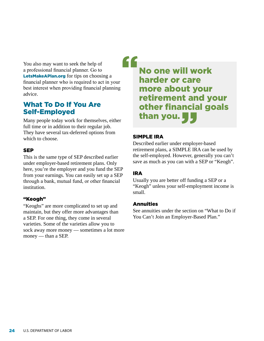You also may want to seek the help of a professional financial planner. Go to [LetsMakeAPlan.org](http://LetsMakeAPlan.org) for tips on choosing a financial planner who is required to act in your best interest when providing financial planning advice.

# What To Do If You Are Self-Employed

Many people today work for themselves, either full time or in addition to their regular job. They have several tax-deferred options from which to choose.

### **SEP**

This is the same type of SEP described earlier under employer-based retirement plans. Only here, you're the employer and you fund the SEP from your earnings. You can easily set up a SEP through a bank, mutual fund, or other financial institution.

#### "Keogh"

"Keoghs" are more complicated to set up and maintain, but they offer more advantages than a SEP. For one thing, they come in several varieties. Some of the varieties allow you to sock away more money — sometimes a lot more money — than a SEP.

No one will work harder or care more about your retirement and your other financial goals than you. **JJ**<br>MPLE IRA "

#### SIMPLE IRA

Described earlier under employer-based retirement plans, a SIMPLE IRA can be used by the self-employed. However, generally you can't save as much as you can with a SEP or "Keogh".

# IRA

Usually you are better off funding a SEP or a "Keogh" unless your self-employment income is small.

#### Annuities

See annuities under the section on "What to Do if You Can't Join an Employer-Based Plan."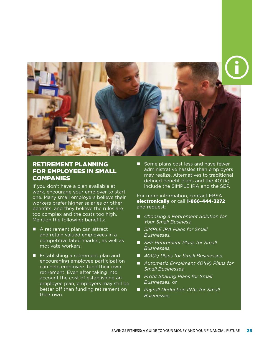

# RETIREMENT PLANNING FOR EMPLOYEES IN SMALL **COMPANIES**

If you don't have a plan available at work, encourage your employer to start one. Many small employers believe their workers prefer higher salaries or other benefits, and they believe the rules are too complex and the costs too high. Mention the following benefits:

- $\blacksquare$  A retirement plan can attract and retain valued employees in a competitive labor market, as well as motivate workers.
- $\blacksquare$  Establishing a retirement plan and encouraging employee participation can help employers fund their own retirement. Even after taking into account the cost of establishing an employee plan, employers may still be better off than funding retirement on their own.

Some plans cost less and have fewer administrative hassles than employers may realize. Alternatives to traditional defined benefit plans and the 401(k) include the SIMPLE IRA and the SEP.

For more information, contact EBSA [electronically](https://www.askebsa.dol.gov) or call 1-866-444-3272 and request:

- *Choosing a Retirement Solution for Your Small Business,*
- *SIMPLE IRA Plans for Small Businesses,*
- *SEP Retirement Plans for Small Businesses,*
- 401(k) Plans for Small Businesses,
- *Automatic Enrollment 401(k)* Plans for *Small Businesses,*
- **n** *Profit Sharing Plans for Small Businesses,* or
- *Payroll Deduction IRAs for Small Businesses.*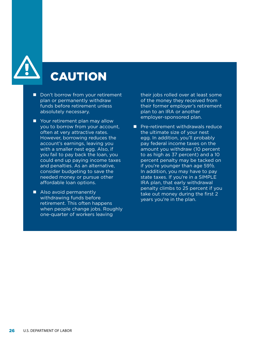

# **CAUTION**

- Don't borrow from your retirement plan or permanently withdraw funds before retirement unless absolutely necessary.
- $\blacksquare$  Your retirement plan may allow you to borrow from your account, often at very attractive rates. However, borrowing reduces the account's earnings, leaving you with a smaller nest egg. Also, if you fail to pay back the loan, you could end up paying income taxes and penalties. As an alternative, consider budgeting to save the needed money or pursue other affordable loan options.
- $\blacksquare$  Also avoid permanently withdrawing funds before retirement. This often happens when people change jobs. Roughly one-quarter of workers leaving

their jobs rolled over at least some of the money they received from their former employer's retirement plan to an IRA or another employer-sponsored plan.

 $\blacksquare$  Pre-retirement withdrawals reduce the ultimate size of your nest egg. In addition, you'll probably pay federal income taxes on the amount you withdraw (10 percent to as high as 37 percent) and a 10 percent penalty may be tacked on if you're younger than age 59½. In addition, you may have to pay state taxes. If you're in a SIMPLE IRA plan, that early withdrawal penalty climbs to 25 percent if you take out money during the first 2 years you're in the plan.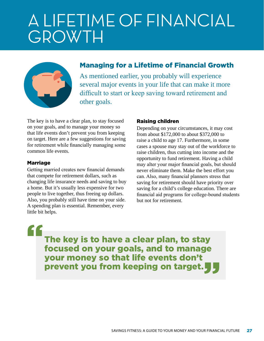# <span id="page-30-0"></span>A LIFETIME OF FINANCIAL GROWTH



# Managing for a Lifetime of Financial Growth

As mentioned earlier, you probably will experience several major events in your life that can make it more difficult to start or keep saving toward retirement and other goals.

The key is to have a clear plan, to stay focused on your goals, and to manage your money so that life events don't prevent you from keeping on target. Here are a few suggestions for saving for retirement while financially managing some common life events.

# Marriage

Getting married creates new financial demands that compete for retirement dollars, such as changing life insurance needs and saving to buy a home. But it's usually less expensive for two people to live together, thus freeing up dollars. Also, you probably still have time on your side. A spending plan is essential. Remember, every little bit helps.

# Raising children

Depending on your circumstances, it may cost from about \$172,000 to about \$372,000 to raise a child to age 17. Furthermore, in some cases a spouse may stay out of the workforce to raise children, thus cutting into income and the opportunity to fund retirement. Having a child may alter your major financial goals, but should never eliminate them. Make the best effort you can. Also, many financial planners stress that saving for retirement should have priority over saving for a child's college education. There are financial aid programs for college-bound students but not for retirement.

The key is to have a clear plan, to stay focused on your goals, and to manage your money so that life events don't prevent you from keeping on target. "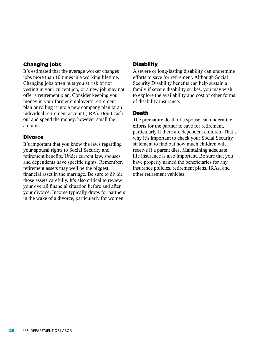### Changing jobs

It's estimated that the average worker changes jobs more than 10 times in a working lifetime. Changing jobs often puts you at risk of not vesting in your current job, or a new job may not offer a retirement plan. Consider keeping your money in your former employer's retirement plan or rolling it into a new company plan or an individual retirement account (IRA). Don't cash out and spend the money, however small the amount.

### **Divorce**

It's important that you know the laws regarding your spousal rights to Social Security and retirement benefits. Under current law, spouses and dependents have specific rights. Remember, retirement assets may well be the biggest financial asset in the marriage. Be sure to divide those assets carefully. It's also critical to review your overall financial situation before and after your divorce. Income typically drops for partners in the wake of a divorce, particularly for women.

### **Disability**

A severe or long-lasting disability can undermine efforts to save for retirement. Although Social Security Disability benefits can help sustain a family if severe disability strikes, you may wish to explore the availability and cost of other forms of disability insurance.

### Death

The premature death of a spouse can undermine efforts for the partner to save for retirement, particularly if there are dependent children. That's why it's important to check your Social Security statement to find out how much children will receive if a parent dies. Maintaining adequate life insurance is also important. Be sure that you have properly named the beneficiaries for any insurance policies, retirement plans, IRAs, and other retirement vehicles.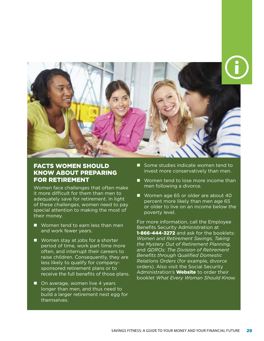

# FACTS WOMEN SHOULD KNOW ABOUT PREPARING FOR RETIREMENT

Women face challenges that often make it more difficult for them than men to adequately save for retirement. In light of these challenges, women need to pay special attention to making the most of their money.

- $\blacksquare$  Women tend to earn less than men and work fewer years.
- $\blacksquare$  Women stay at jobs for a shorter period of time, work part time more often, and interrupt their careers to raise children. Consequently, they are less likely to qualify for companysponsored retirement plans or to receive the full benefits of those plans.
- $\blacksquare$  On average, women live 4 years longer than men, and thus need to build a larger retirement nest egg for themselves.
- $\blacksquare$  Some studies indicate women tend to invest more conservatively than men.
- $\blacksquare$  Women tend to lose more income than men following a divorce.
- Women age 65 or older are about 40 percent more likely than men age 65 or older to live on an income below the poverty level.

For more information, call the Employee Benefits Security Administration at 1-866-444-3272 and ask for the booklets: *Women and Retirement Savings, Taking the Mystery Out of Retirement Planning,*  and *QDROs: The Division of Retirement Benefits through Qualified Domestic Relations Orders* (for example, divorce orders). Also visit the Social Security Administration's **[Website](http://www.socialsecurity.gov/pubs)** to order their booklet *What Every Woman Should Know.*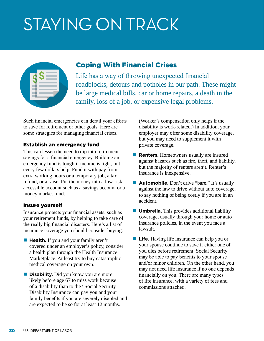# <span id="page-33-0"></span>STAYING ON TRACK



# Coping With Financial Crises

Life has a way of throwing unexpected financial roadblocks, detours and potholes in our path. These might be large medical bills, car or home repairs, a death in the family, loss of a job, or expensive legal problems.

Such financial emergencies can derail your efforts to save for retirement or other goals. Here are some strategies for managing financial crises.

# Establish an emergency fund

This can lessen the need to dip into retirement savings for a financial emergency. Building an emergency fund is tough if income is tight, but every few dollars help. Fund it with pay from extra working hours or a temporary job, a tax refund, or a raise. Put the money into a low-risk, accessible account such as a savings account or a money market fund.

# Insure yourself

Insurance protects your financial assets, such as your retirement funds, by helping to take care of the really big financial disasters. Here's a list of insurance coverage you should consider buying:

- **Health.** If you and your family aren't covered under an employer's policy, consider a health plan through the Health Insurance Marketplace. At least try to buy catastrophic medical coverage on your own.
- **Disability.** Did you know you are more likely before age 67 to miss work because of a disability than to die? Social Security Disability Insurance can pay you and your family benefits if you are severely disabled and are expected to be so for at least 12 months.

(Worker's compensation only helps if the disability is work-related.) In addition, your employer may offer some disability coverage, but you may need to supplement it with private coverage.

- **Renters.** Homeowners usually are insured against hazards such as fire, theft, and liability, but the majority of renters aren't. Renter's insurance is inexpensive.
- **Automobile.** Don't drive "bare." It's usually against the law to drive without auto coverage, to say nothing of being costly if you are in an accident.
- **Umbrella.** This provides additional liability coverage, usually through your home or auto insurance policies, in the event you face a lawsuit.
- **Life.** Having life insurance can help you or your spouse continue to save if either one of you dies before retirement. Social Security may be able to pay benefits to your spouse and/or minor children. On the other hand, you may not need life insurance if no one depends financially on you. There are many types of life insurance, with a variety of fees and commissions attached.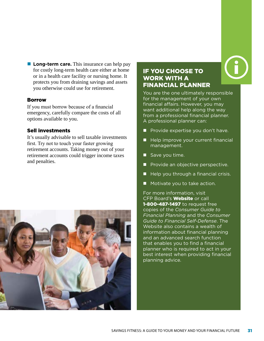**Long-term care.** This insurance can help pay for costly long-term health care either at home or in a health care facility or nursing home. It protects you from draining savings and assets you otherwise could use for retirement.

#### Borrow

If you must borrow because of a financial emergency, carefully compare the costs of all options available to you.

### Sell investments

It's usually advisable to sell taxable investments first. Try not to touch your faster growing retirement accounts. Taking money out of your retirement accounts could trigger income taxes and penalties.



# IF YOU CHOOSE TO **WORK WITH A** FINANCIAL PLANNER

You are the one ultimately responsible for the management of your own financial affairs. However, you may want additional help along the way from a professional financial planner. A professional planner can:

- Provide expertise you don't have.
- $\blacksquare$  Help improve your current financial management.
- $\blacksquare$  Save you time.
- $\blacksquare$  Provide an objective perspective.
- Help you through a financial crisis.
- Motivate you to take action.

For more information, visit CFP Board's **[Website](http://www.LetsMakeAPlan.org)** or call 1-800-487-1497 to request free copies of the *Consumer Guide to Financial Planning* and the *Consumer Guide to Financial Self-Defense*. The Website also contains a wealth of information about financial planning and an advanced search function that enables you to find a financial planner who is required to act in your best interest when providing financial planning advice.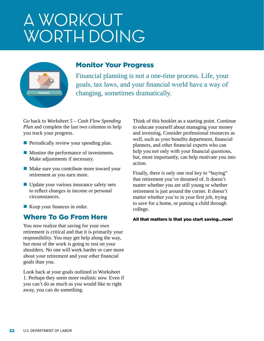# <span id="page-35-0"></span>A WORKOUT WORTH DOING



# Monitor Your Progress

Financial planning is not a one-time process. Life, your goals, tax laws, and your financial world have a way of changing, sometimes dramatically.

Go back to *Worksheet 5 – Cash Flow Spending Plan* and complete the last two columns to help you track your progress.

- $\blacksquare$  Periodically review your spending plan.
- $\blacksquare$  Monitor the performance of investments. Make adjustments if necessary.
- $\blacksquare$  Make sure you contribute more toward your retirement as you earn more.
- $\blacksquare$  Update your various insurance safety nets to reflect changes in income or personal circumstances.
- $\blacksquare$  Keep your finances in order.

# Where To Go From Here

You now realize that saving for your own retirement is critical and that it is primarily your responsibility. You may get help along the way, but most of the work is going to rest on your shoulders. No one will work harder or care more about your retirement and your other financial goals than you.

Look back at your goals outlined in Worksheet 1. Perhaps they seem more realistic now. Even if you can't do as much as you would like to right away, you can do something.

Think of this booklet as a starting point. Continue to educate yourself about managing your money and investing. Consider professional resources as well, such as your benefits department, financial planners, and other financial experts who can help you not only with your financial questions, but, more importantly, can help motivate you into action.

Finally, there is only one real key to "buying" that retirement you've dreamed of. It doesn't matter whether you are still young or whether retirement is just around the corner. It doesn't matter whether you're in your first job, trying to save for a home, or putting a child through college.

#### All that matters is that you start saving...now!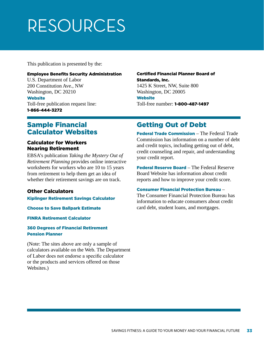# <span id="page-36-0"></span>RESOURCES

This publication is presented by the:

#### Employee Benefits Security Administration

U.S. Department of Labor 200 Constitution Ave., NW Washington, DC 20210 **[Website](https://www.dol.gov/agencies/ebsa)** Toll-free publication request line: 1-866-444-3272

# Sample Financial Calculator Websites

# [Calculator for Workers](https://www.askebsa.dol.gov/retirementcalculator/UI/general.aspx)  Nearing Retirement

EBSA's publication *Taking the Mystery Out of Retirement Planning* provides online interactive worksheets for workers who are 10 to 15 years from retirement to help them get an idea of whether their retirement savings are on track.

# Other Calculators

[Kiplinger Retirement Savings Calculator](http://www.kiplinger.com/tool/retirement/T047-S001-retirement-savings-calculator-how-much-money-do-i/index.php)

[Choose to Save Ballpark Estimate](https://www.choosetosave.org/ballpark/)

[FINRA Retirement Calculator](http://tools.finra.org/retirement_calculator)

#### [360 Degrees of Financial Retirement](http://www.360financialliteracy.org/calculators/retirement-pension-planner)  [Pension Planner](http://www.360financialliteracy.org/calculators/retirement-pension-planner)

(Note: The sites above are only a sample of calculators available on the Web. The Department of Labor does not endorse a specific calculator or the products and services offered on those Websites.)

#### Certified Financial Planner Board of Standards, Inc. 1425 K Street, NW, Suite 800 Washington, DC 20005 **[Website](http://www.LetsMakeAPlan.org)**

Toll-free number: 1-800-487-1497

# Getting Out of Debt

[Federal Trade Commission](http://www.consumer.ftc.gov/topics/money-credit) - The Federal Trade Commission has information on a number of debt and credit topics, including getting out of debt, credit counseling and repair, and understanding your credit report.

[Federal Reserve Board](http://www.federalreserveconsumerhelp.gov) – The Federal Reserve Board Website has information about credit reports and how to improve your credit score.

#### [Consumer Financial Protection Bureau](http://www.consumerfinance.gov) –

The Consumer Financial Protection Bureau has information to educate consumers about credit card debt, student loans, and mortgages.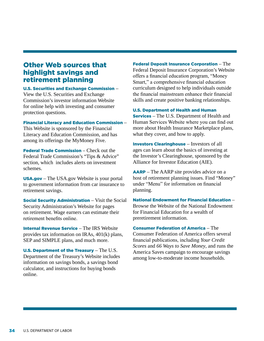# Other Web sources that highlight savings and retirement planning

#### [U.S. Securities and Exchange Commission](http://www.Investor.gov) –

View the U.S. Securities and Exchange Commission's investor information Website for online help with investing and consumer protection questions.

[Financial Literacy and Education Commission](http://www.MyMoney.gov) –

This Website is sponsored by the Financial Literacy and Education Commission, and has among its offerings the MyMoney Five.

[Federal Trade Commission](http://www.ftc.gov) – Check out the Federal Trade Commission's "Tips & Advice" section, which includes alerts on investment schemes.

[USA.gov](http://www.USA.gov) – The USA.gov Website is your portal to government information from car insurance to retirement savings.

[Social Security Administration](http://www.socialsecurity.gov) – Visit the Social Security Administration's Website for pages on retirement. Wage earners can estimate their retirement benefits online.

[Internal Revenue Service](http://www.IRS.gov/retirement) – The IRS Website provides tax information on IRAs, 401(k) plans, SEP and SIMPLE plans, and much more.

[U.S. Department of the Treasury](http://www.TreasuryDirect.gov) – The U.S. Department of the Treasury's Website includes information on savings bonds, a savings bond calculator, and instructions for buying bonds online.

[Federal Deposit Insurance Corporation](http://www.fdic.gov/consumers/consumer/moneysmart) – The Federal Deposit Insurance Corporation's Website offers a financial education program, "Money Smart," a comprehensive financial education curriculum designed to help individuals outside the financial mainstream enhance their financial skills and create positive banking relationships.

#### [U.S. Department of Health and Human](http://www.HealthCare.gov)

**[Services](http://www.HealthCare.gov)** – The U.S. Department of Health and Human Services Website where you can find out more about Health Insurance Marketplace plans, what they cover, and how to apply.

[Investors Clearinghouse](http://www.investoreducation.org) – Investors of all ages can learn about the basics of investing at the Investor's Clearinghouse, sponsored by the Alliance for Investor Education (AIE).

[AARP](http://www.aarp.org) – The AARP site provides advice on a host of retirement planning issues. Find "Money" under "Menu" for information on financial planning.

[National Endowment for Financial Education](http://www.nefe.org) – Browse the Website of the National Endowment for Financial Education for a wealth of preretirement information.

[Consumer Federation of America](http://www.consumerfed.org) – The Consumer Federation of America offers several financial publications, including *Your Credit Scores* and *66 Ways to Save Money*, and runs the America Saves campaign to encourage savings among low-to-moderate income households.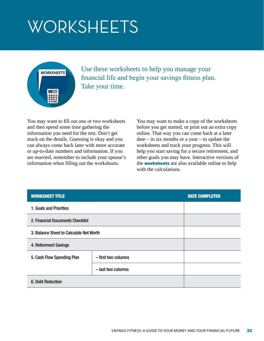# <span id="page-38-0"></span>WORKSHEETS



Use these worksheets to help you manage your financial life and begin your savings fitness plan. Take your time.

You may want to fill out one or two worksheets and then spend some time gathering the information you need for the rest. Don't get stuck on the details. Guessing is okay and you can always come back later with more accurate or up-to-date numbers and information. If you are married, remember to include your spouse's information when filling out the worksheets.

You may want to make a copy of the worksheets before you get started, or print out an extra copy online. That way you can come back at a later date – in six months or a year – to update the worksheets and track your progress. This will help you start saving for a secure retirement, and other goals you may have. Interactive versions of the **[worksheets](https://www.askebsa.dol.gov/SavingsFitness/Worksheets)** are also available online to help with the calculations.

| <b>WORKSHEET TITLE</b>                  | <b>DATE COMPLETED</b> |  |
|-----------------------------------------|-----------------------|--|
| 1. Goals and Priorities                 |                       |  |
| 2. Financial Documents Checklist        |                       |  |
| 3. Balance Sheet to Calculate Net Worth |                       |  |
| 4. Retirement Savings                   |                       |  |
| 5. Cash Flow Spending Plan              |                       |  |
|                                         |                       |  |
| <b>6. Debt Reduction</b>                |                       |  |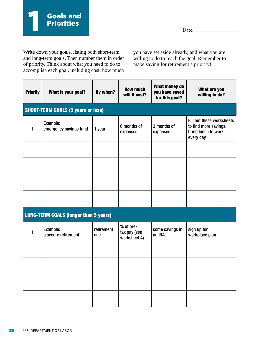

Date:

Write down your goals, listing both short-term and long-term goals. Then number them in order of priority. Think about what you need to do to accomplish each goal, including cost, how much

you have set aside already, and what you are willing to do to reach the goal. Remember to make saving for retirement a priority!

| <b>Priority</b> | What is your goal?                           | By when?          | <b>How much</b><br>will it cost?          | What money do<br>you have saved<br>for this goal? | What are you<br>willing to do?                                                         |
|-----------------|----------------------------------------------|-------------------|-------------------------------------------|---------------------------------------------------|----------------------------------------------------------------------------------------|
|                 | <b>SHORT-TERM GOALS (5 years or less)</b>    |                   |                                           |                                                   |                                                                                        |
| 1               | Example:<br>emergency savings fund           | 1 year            | 6 months of<br>expenses                   | 3 months of<br>expenses                           | Fill out these worksheets<br>to find more savings,<br>bring lunch to work<br>every day |
|                 |                                              |                   |                                           |                                                   |                                                                                        |
|                 |                                              |                   |                                           |                                                   |                                                                                        |
|                 |                                              |                   |                                           |                                                   |                                                                                        |
|                 |                                              |                   |                                           |                                                   |                                                                                        |
|                 | <b>LONG-TERM GOALS (longer than 5 years)</b> |                   |                                           |                                                   |                                                                                        |
| 1               | Example:<br>a secure retirement              | retirement<br>age | % of pre-<br>tax pay (see<br>worksheet 4) | some savings in<br>an IRA                         | sign up for<br>workplace plan                                                          |
|                 |                                              |                   |                                           |                                                   |                                                                                        |
|                 |                                              |                   |                                           |                                                   |                                                                                        |
|                 |                                              |                   |                                           |                                                   |                                                                                        |
|                 |                                              |                   |                                           |                                                   |                                                                                        |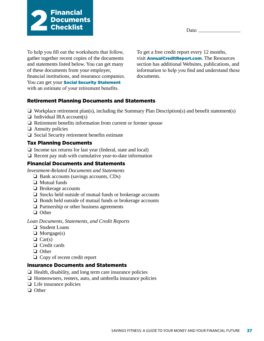

To help you fill out the worksheets that follow, gather together recent copies of the documents and statements listed below. You can get many of these documents from your employer, financial institutions, and insurance companies. You can get your **[Social Security Statement](http://www.socialsecurity.gov/myaccount)** with an estimate of your retirement benefits.

To get a free credit report every 12 months, visit [AnnualCreditReport.com](http://www.AnnualCreditReport.com). The Resources section has additional Websites, publications, and information to help you find and understand these documents.

# Retirement Planning Documents and Statements

- ❏ Workplace retirement plan(s), including the Summary Plan Description(s) and benefit statement(s)
- $\Box$  Individual IRA account(s)
- ❏ Retirement benefits information from current or former spouse
- ❏ Annuity policies
- ❏ Social Security retirement benefits estimate

### Tax Planning Documents

- ❏ Income tax returns for last year (federal, state and local)
- ❏ Recent pay stub with cumulative year-to-date information

# Financial Documents and Statements

*Investment-Related Documents and Statements*

- ❏ Bank accounts (savings accounts, CDs)
- ❏ Mutual funds
- ❏ Brokerage accounts
- ❏ Stocks held outside of mutual funds or brokerage accounts
- ❏ Bonds held outside of mutual funds or brokerage accounts
- ❏ Partnership or other business agreements
- ❏ Other

*Loan Documents, Statements, and Credit Reports*

- ❏ Student Loans
- ❏ Mortgage(s)
- $\Box$  Car(s)
- ❏ Credit cards
- ❏ Other
- ❏ Copy of recent credit report

#### Insurance Documents and Statements

- ❏ Health, disability, and long term care insurance policies
- ❏ Homeowners, renters, auto, and umbrella insurance policies
- ❏ Life insurance policies
- ❏ Other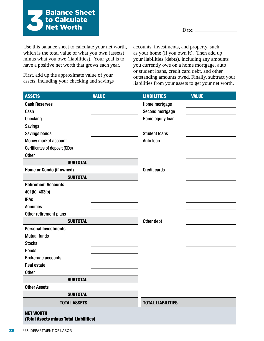

Use this balance sheet to calculate your net worth, which is the total value of what you own (assets) minus what you owe (liabilities). Your goal is to have a positive net worth that grows each year.

First, add up the approximate value of your assets, including your checking and savings

accounts, investments, and property, such as your home (if you own it). Then add up your liabilities (debts), including any amounts you currently owe on a home mortgage, auto or student loans, credit card debt, and other outstanding amounts owed. Finally, subtract your liabilities from your assets to get your net worth.

| <b>ASSETS</b>                                              | <b>VALUE</b> | <b>LIABILITIES</b>       | <b>VALUE</b> |
|------------------------------------------------------------|--------------|--------------------------|--------------|
| <b>Cash Reserves</b>                                       |              | Home mortgage            |              |
| Cash                                                       |              | Second mortgage          |              |
| <b>Checking</b>                                            |              | Home equity loan         |              |
| <b>Savings</b>                                             |              |                          |              |
| <b>Savings bonds</b>                                       |              | <b>Student loans</b>     |              |
| Money market account                                       |              | <b>Auto loan</b>         |              |
| <b>Certificates of deposit (CDs)</b>                       |              |                          |              |
| <b>Other</b>                                               |              |                          |              |
| <b>SUBTOTAL</b>                                            |              |                          |              |
| Home or Condo (if owned)                                   |              | <b>Credit cards</b>      |              |
| <b>SUBTOTAL</b>                                            |              |                          |              |
| <b>Retirement Accounts</b>                                 |              |                          |              |
| 401(k), 403(b)                                             |              |                          |              |
| <b>IRAs</b>                                                |              |                          |              |
| <b>Annuities</b>                                           |              |                          |              |
| Other retirement plans                                     |              |                          |              |
| <b>SUBTOTAL</b>                                            |              | Other debt               |              |
| <b>Personal Investments</b>                                |              |                          |              |
| <b>Mutual funds</b>                                        |              |                          |              |
| <b>Stocks</b>                                              |              |                          |              |
| <b>Bonds</b>                                               |              |                          |              |
| <b>Brokerage accounts</b>                                  |              |                          |              |
| <b>Real estate</b>                                         |              |                          |              |
| <b>Other</b>                                               |              |                          |              |
| <b>SUBTOTAL</b>                                            |              |                          |              |
| <b>Other Assets</b>                                        |              |                          |              |
| <b>SUBTOTAL</b>                                            |              |                          |              |
| <b>TOTAL ASSETS</b>                                        |              | <b>TOTAL LIABILITIES</b> |              |
| <b>NET WORTH</b><br>(Total Assets minus Total Liabilities) |              |                          |              |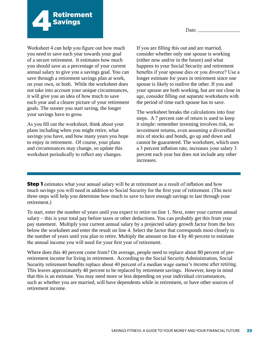Date:



Worksheet 4 can help you figure out how much you need to save each year towards your goal of a secure retirement. It estimates how much you should save as a percentage of your current annual salary to give you a savings goal. You can save through a retirement savings plan at work, on your own, or both. While the worksheet does not take into account your unique circumstances, it will give you an idea of how much to save each year and a clearer picture of your retirement goals. The sooner you start saving, the longer your savings have to grow.

As you fill out the worksheet, think about your plans including when you might retire, what savings you have, and how many years you hope to enjoy in retirement. Of course, your plans and circumstances may change, so update this worksheet periodically to reflect any changes.

If you are filling this out and are married, consider whether only one spouse is working (either now and/or in the future) and what happens to your Social Security and retirement benefits if your spouse dies or you divorce? Use a longer estimate for years in retirement since one spouse is likely to outlive the other. If you and your spouse are both working, but are not close in age, consider filling out separate worksheets with the period of time each spouse has to save.

The worksheet breaks the calculations into four steps. A 7 percent rate of return is used to keep it simple: remember investing involves risk, so investment returns, even assuming a diversified mix of stocks and bonds, go up and down and cannot be guaranteed. The worksheet, which uses a 3 percent inflation rate, increases your salary 3 percent each year but does not include any other increases.

**Step 1** estimates what your annual salary will be at retirement as a result of inflation and how much savings you will need in addition to Social Security for the first year of retirement. (The next three steps will help you determine how much to save to have enough savings to last through your retirement.)

To start, enter the number of years until you expect to retire on line 1. Next, enter your current annual salary – this is your total pay before taxes or other deductions. You can probably get this from your pay statement. Multiply your current annual salary by a projected salary growth factor from the box below the worksheet and enter the result on line 4. Select the factor that corresponds most closely to the number of years until you plan to retire. Multiply the amount on line 4 by 40 percent to estimate the annual income you will need for your first year of retirement.

Where does this 40 percent come from? On average, people need to replace about 80 percent of preretirement income for living in retirement. According to the Social Security Administration, Social Security retirement benefits replace about 40 percent of a median wage earner's income after retiring. This leaves approximately 40 percent to be replaced by retirement savings. However, keep in mind that this is an estimate. You may need more or less depending on your individual circumstances, such as whether you are married, will have dependents while in retirement, or have other sources of retirement income.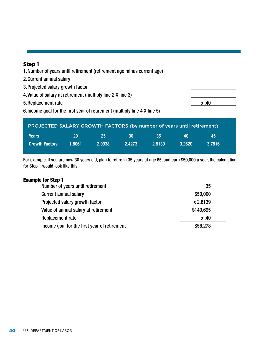# Step 1 1. Number of years until retirement (retirement age minus current age) 2. Current annual salary 3. Projected salary growth factor 4. Value of salary at retirement (multiply line 2 X line 3) 5. Replacement rate x .40 6. Income goal for the first year of retirement (multiply line 4 X line 5)

| PROJECTED SALARY GROWTH FACTORS (by number of years until retirement) |        |        |        |        |        |        |  |
|-----------------------------------------------------------------------|--------|--------|--------|--------|--------|--------|--|
| <b>Years</b>                                                          | 20     | -25.   | 30     | -35.   | 40.    | 45.    |  |
| <b>Growth Factors</b>                                                 | 1.8061 | 2.0938 | 2.4273 | 2.8139 | 3.2620 | 3.7816 |  |

For example, if you are now 30 years old, plan to retire in 35 years at age 65, and earn \$50,000 a year, the calculation for Step 1 would look like this:

| Number of years until retirement             | 35        |
|----------------------------------------------|-----------|
| <b>Current annual salary</b>                 | \$50,000  |
| Projected salary growth factor               | x 2.8139  |
| Value of annual salary at retirement         | \$140,695 |
| Replacement rate                             | x.40      |
| Income goal for the first year of retirement | \$56,278  |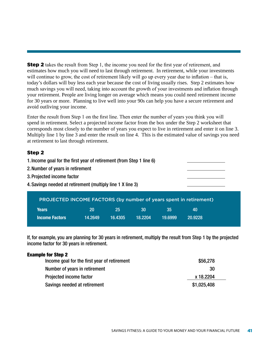**Step 2** takes the result from Step 1, the income you need for the first year of retirement, and estimates how much you will need to last through retirement. In retirement, while your investments will continue to grow, the cost of retirement likely will go up every year due to inflation – that is, today's dollars will buy less each year because the cost of living usually rises. Step 2 estimates how much savings you will need, taking into account the growth of your investments and inflation through your retirement. People are living longer on average which means you could need retirement income for 30 years or more. Planning to live well into your 90s can help you have a secure retirement and avoid outliving your income.

Enter the result from Step 1 on the first line. Then enter the number of years you think you will spend in retirement. Select a projected income factor from the box under the Step 2 worksheet that corresponds most closely to the number of years you expect to live in retirement and enter it on line 3. Multiply line 1 by line 3 and enter the result on line 4. This is the estimated value of savings you need at retirement to last through retirement.

# Step 2

- 1. Income goal for the first year of retirement (from Step 1 line 6)
- 2. Number of years in retirement
- 3. Projected income factor
- 4. Savings needed at retirement (multiply line 1 X line 3)

| <b>PROJECTED INCOME FACTORS (by number of years spent in retirement)</b> |         |         |         |         |         |
|--------------------------------------------------------------------------|---------|---------|---------|---------|---------|
| Years                                                                    | 20      | 25.     | 30      | 35      | 40      |
| <b>Income Factors</b>                                                    | 14.2649 | 16.4305 | 18.2204 | 19.6999 | 20.9228 |

If, for example, you are planning for 30 years in retirement, multiply the result from Step 1 by the projected income factor for 30 years in retirement.

| Income goal for the first year of retirement | \$56,278    |
|----------------------------------------------|-------------|
| Number of years in retirement                | 30          |
| <b>Projected income factor</b>               | x 18.2204   |
| Savings needed at retirement                 | \$1,025,408 |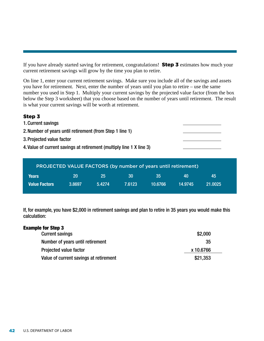If you have already started saving for retirement, congratulations! Step 3 estimates how much your current retirement savings will grow by the time you plan to retire.

On line 1, enter your current retirement savings. Make sure you include all of the savings and assets you have for retirement. Next, enter the number of years until you plan to retire – use the same number you used in Step 1. Multiply your current savings by the projected value factor (from the box below the Step 3 worksheet) that you choose based on the number of years until retirement. The result is what your current savings will be worth at retirement.

# Step 3

| 1. Current savings                                                   |  |
|----------------------------------------------------------------------|--|
| 2. Number of years until retirement (from Step 1 line 1)             |  |
| 3. Projected value factor                                            |  |
| 4. Value of current savings at retirement (multiply line 1 X line 3) |  |
|                                                                      |  |

| PROJECTED VALUE FACTORS (by number of years until retirement) |        |        |        |         |         |         |  |
|---------------------------------------------------------------|--------|--------|--------|---------|---------|---------|--|
| Years                                                         | 20     | -25    | 30     | -35     | 40      | 45      |  |
| <b>Value Factors</b>                                          | 3.8697 | 5.4274 | 7.6123 | 10.6766 | 14.9745 | 21.0025 |  |

If, for example, you have \$2,000 in retirement savings and plan to retire in 35 years you would make this calculation:

| <b>Current savings</b>                 | \$2,000   |
|----------------------------------------|-----------|
| Number of years until retirement       | 35        |
| <b>Projected value factor</b>          | x 10.6766 |
| Value of current savings at retirement | \$21,353  |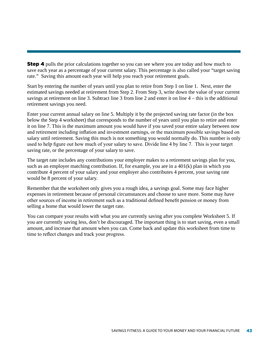**Step 4** pulls the prior calculations together so you can see where you are today and how much to save each year as a percentage of your current salary. This percentage is also called your "target saving rate." Saving this amount each year will help you reach your retirement goals.

Start by entering the number of years until you plan to retire from Step 1 on line 1. Next, enter the estimated savings needed at retirement from Step 2. From Step 3, write down the value of your current savings at retirement on line 3. Subtract line 3 from line 2 and enter it on line 4 – this is the additional retirement savings you need.

Enter your current annual salary on line 5. Multiply it by the projected saving rate factor (in the box below the Step 4 worksheet) that corresponds to the number of years until you plan to retire and enter it on line 7. This is the maximum amount you would have if you saved your entire salary between now and retirement including inflation and investment earnings, or the maximum possible savings based on salary until retirement. Saving this much is not something you would normally do. This number is only used to help figure out how much of your salary to save. Divide line 4 by line 7. This is your target saving rate, or the percentage of your salary to save.

The target rate includes any contributions your employer makes to a retirement savings plan for you, such as an employer matching contribution. If, for example, you are in a 401(k) plan in which you contribute 4 percent of your salary and your employer also contributes 4 percent, your saving rate would be 8 percent of your salary.

Remember that the worksheet only gives you a rough idea, a savings goal. Some may face higher expenses in retirement because of personal circumstances and choose to save more. Some may have other sources of income in retirement such as a traditional defined benefit pension or money from selling a home that would lower the target rate.

You can compare your results with what you are currently saving after you complete Worksheet 5. If you are currently saving less, don't be discouraged. The important thing is to start saving, even a small amount, and increase that amount when you can. Come back and update this worksheet from time to time to reflect changes and track your progress.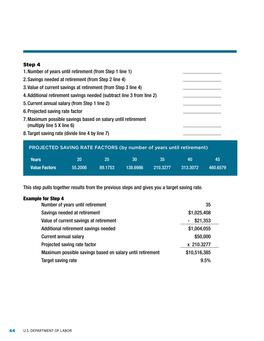# Step 4

| 1. Number of years until retirement (from Step 1 line 1)                                   |  |
|--------------------------------------------------------------------------------------------|--|
| 2. Savings needed at retirement (from Step 2 line 4)                                       |  |
| 3. Value of current savings at retirement (from Step 3 line 4)                             |  |
| 4. Additional retirement savings needed (subtract line 3 from line 2)                      |  |
| 5. Current annual salary (from Step 1 line 2)                                              |  |
| 6. Projected saving rate factor                                                            |  |
| 7. Maximum possible savings based on salary until retirement<br>(multiply line 5 X line 6) |  |
| 8. Target saving rate (divide line 4 by line 7)                                            |  |

| <b>PROJECTED SAVING RATE FACTORS (by number of years until retirement)</b> |         |         |          |          |          |          |
|----------------------------------------------------------------------------|---------|---------|----------|----------|----------|----------|
| <b>Years</b>                                                               | 20      | 25      | 30       | 35       | 40       | 45       |
| <b>Value Factors</b>                                                       | 55.2006 | 89.1753 | 138.6986 | 210.3277 | 313.3072 | 460.6579 |

This step pulls together results from the previous steps and gives you a target saving rate.

| Number of years until retirement                          | 35            |
|-----------------------------------------------------------|---------------|
| Savings needed at retirement                              | \$1,025,408   |
| Value of current savings at retirement                    | \$21,353<br>۰ |
| Additional retirement savings needed                      | \$1,004,055   |
| <b>Current annual salary</b>                              | \$50,000      |
| Projected saving rate factor                              | x 210.3277    |
| Maximum possible savings based on salary until retirement | \$10,516,385  |
| Target saving rate                                        | 9.5%          |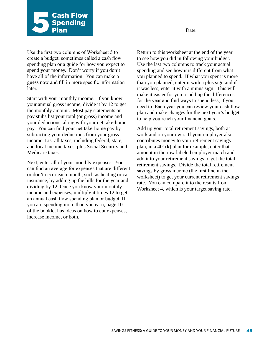

Use the first two columns of Worksheet 5 to create a budget, sometimes called a cash flow spending plan or a guide for how you expect to spend your money. Don't worry if you don't have all of the information. You can make a guess now and fill in more specific information later.

Start with your monthly income. If you know your annual gross income, divide it by 12 to get the monthly amount. Most pay statements or pay stubs list your total (or gross) income and your deductions, along with your net take-home pay. You can find your net take-home pay by subtracting your deductions from your gross income. List all taxes, including federal, state, and local income taxes, plus Social Security and Medicare taxes.

Next, enter all of your monthly expenses. You can find an average for expenses that are different or don't occur each month, such as heating or car insurance, by adding up the bills for the year and dividing by 12. Once you know your monthly income and expenses, multiply it times 12 to get an annual cash flow spending plan or budget. If you are spending more than you earn, page 10 of the booklet has ideas on how to cut expenses, increase income, or both.

Return to this worksheet at the end of the year to see how you did in following your budget. Use the last two columns to track your actual spending and see how it is different from what you planned to spend. If what you spent is more than you planned, enter it with a plus sign and if it was less, enter it with a minus sign. This will make it easier for you to add up the differences for the year and find ways to spend less, if you need to. Each year you can review your cash flow plan and make changes for the next year's budget to help you reach your financial goals.

Add up your total retirement savings, both at work and on your own. If your employer also contributes money to your retirement savings plan, in a 401(k) plan for example, enter that amount in the row labeled employer match and add it to your retirement savings to get the total retirement savings. Divide the total retirement savings by gross income (the first line in the worksheet) to get your current retirement savings rate. You can compare it to the results from Worksheet 4, which is your target saving rate.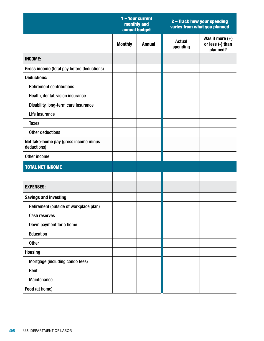|                                                      | 1 - Your current<br>monthly and<br>annual budget |               | 2 - Track how your spending<br>varies from what you planned |                                                   |
|------------------------------------------------------|--------------------------------------------------|---------------|-------------------------------------------------------------|---------------------------------------------------|
|                                                      | <b>Monthly</b>                                   | <b>Annual</b> | <b>Actual</b><br>spending                                   | Was it more $(+)$<br>or less (-) than<br>planned? |
| <b>INCOME:</b>                                       |                                                  |               |                                                             |                                                   |
| Gross income (total pay before deductions)           |                                                  |               |                                                             |                                                   |
| <b>Deductions:</b>                                   |                                                  |               |                                                             |                                                   |
| <b>Retirement contributions</b>                      |                                                  |               |                                                             |                                                   |
| Health, dental, vision insurance                     |                                                  |               |                                                             |                                                   |
| Disability, long-term care insurance                 |                                                  |               |                                                             |                                                   |
| Life insurance                                       |                                                  |               |                                                             |                                                   |
| <b>Taxes</b>                                         |                                                  |               |                                                             |                                                   |
| <b>Other deductions</b>                              |                                                  |               |                                                             |                                                   |
| Net take-home pay (gross income minus<br>deductions) |                                                  |               |                                                             |                                                   |
| Other income                                         |                                                  |               |                                                             |                                                   |
| <b>TOTAL NET INCOME</b>                              |                                                  |               |                                                             |                                                   |
|                                                      |                                                  |               |                                                             |                                                   |
| <b>EXPENSES:</b>                                     |                                                  |               |                                                             |                                                   |
| <b>Savings and investing</b>                         |                                                  |               |                                                             |                                                   |
| Retirement (outside of workplace plan)               |                                                  |               |                                                             |                                                   |
| <b>Cash reserves</b>                                 |                                                  |               |                                                             |                                                   |
| Down payment for a home                              |                                                  |               |                                                             |                                                   |
| <b>Education</b>                                     |                                                  |               |                                                             |                                                   |
| <b>Other</b>                                         |                                                  |               |                                                             |                                                   |
| <b>Housing</b>                                       |                                                  |               |                                                             |                                                   |
| Mortgage (including condo fees)                      |                                                  |               |                                                             |                                                   |
| Rent                                                 |                                                  |               |                                                             |                                                   |
| <b>Maintenance</b>                                   |                                                  |               |                                                             |                                                   |
| Food (at home)                                       |                                                  |               |                                                             |                                                   |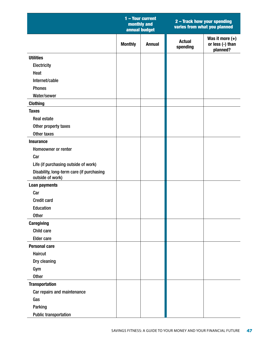|                                                               | 1 - Your current<br>monthly and<br>annual budget |               | 2 - Track how your spending<br>varies from what you planned |                                                   |
|---------------------------------------------------------------|--------------------------------------------------|---------------|-------------------------------------------------------------|---------------------------------------------------|
|                                                               | <b>Monthly</b>                                   | <b>Annual</b> | <b>Actual</b><br>spending                                   | Was it more $(+)$<br>or less (-) than<br>planned? |
| <b>Utilities</b>                                              |                                                  |               |                                                             |                                                   |
| Electricity                                                   |                                                  |               |                                                             |                                                   |
| Heat                                                          |                                                  |               |                                                             |                                                   |
| Internet/cable                                                |                                                  |               |                                                             |                                                   |
| <b>Phones</b>                                                 |                                                  |               |                                                             |                                                   |
| Water/sewer                                                   |                                                  |               |                                                             |                                                   |
| <b>Clothing</b>                                               |                                                  |               |                                                             |                                                   |
| <b>Taxes</b>                                                  |                                                  |               |                                                             |                                                   |
| <b>Real estate</b>                                            |                                                  |               |                                                             |                                                   |
| Other property taxes                                          |                                                  |               |                                                             |                                                   |
| Other taxes                                                   |                                                  |               |                                                             |                                                   |
| <b>Insurance</b>                                              |                                                  |               |                                                             |                                                   |
| Homeowner or renter                                           |                                                  |               |                                                             |                                                   |
| Car                                                           |                                                  |               |                                                             |                                                   |
| Life (if purchasing outside of work)                          |                                                  |               |                                                             |                                                   |
| Disability, long-term care (if purchasing<br>outside of work) |                                                  |               |                                                             |                                                   |
| Loan payments                                                 |                                                  |               |                                                             |                                                   |
| Car                                                           |                                                  |               |                                                             |                                                   |
| <b>Credit card</b>                                            |                                                  |               |                                                             |                                                   |
| <b>Education</b>                                              |                                                  |               |                                                             |                                                   |
| <b>Other</b>                                                  |                                                  |               |                                                             |                                                   |
| <b>Caregiving</b>                                             |                                                  |               |                                                             |                                                   |
| <b>Child care</b>                                             |                                                  |               |                                                             |                                                   |
| <b>Elder care</b>                                             |                                                  |               |                                                             |                                                   |
| <b>Personal care</b>                                          |                                                  |               |                                                             |                                                   |
| <b>Haircut</b>                                                |                                                  |               |                                                             |                                                   |
| Dry cleaning                                                  |                                                  |               |                                                             |                                                   |
| Gym                                                           |                                                  |               |                                                             |                                                   |
| <b>Other</b>                                                  |                                                  |               |                                                             |                                                   |
| <b>Transportation</b>                                         |                                                  |               |                                                             |                                                   |
| Car repairs and maintenance                                   |                                                  |               |                                                             |                                                   |
| Gas                                                           |                                                  |               |                                                             |                                                   |
| Parking                                                       |                                                  |               |                                                             |                                                   |
| <b>Public transportation</b>                                  |                                                  |               |                                                             |                                                   |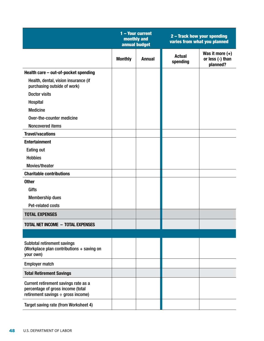|                                                                                                                 | 1 - Your current<br>monthly and<br>annual budget |               | 2 - Track how your spending<br>varies from what you planned |                                                   |
|-----------------------------------------------------------------------------------------------------------------|--------------------------------------------------|---------------|-------------------------------------------------------------|---------------------------------------------------|
|                                                                                                                 | <b>Monthly</b>                                   | <b>Annual</b> | <b>Actual</b><br>spending                                   | Was it more $(+)$<br>or less (-) than<br>planned? |
| Health care - out-of-pocket spending                                                                            |                                                  |               |                                                             |                                                   |
| Health, dental, vision insurance (if<br>purchasing outside of work)                                             |                                                  |               |                                                             |                                                   |
| <b>Doctor visits</b>                                                                                            |                                                  |               |                                                             |                                                   |
| Hospital                                                                                                        |                                                  |               |                                                             |                                                   |
| <b>Medicine</b>                                                                                                 |                                                  |               |                                                             |                                                   |
| Over-the-counter medicine                                                                                       |                                                  |               |                                                             |                                                   |
| <b>Noncovered items</b>                                                                                         |                                                  |               |                                                             |                                                   |
| <b>Travel/vacations</b>                                                                                         |                                                  |               |                                                             |                                                   |
| <b>Entertainment</b>                                                                                            |                                                  |               |                                                             |                                                   |
| <b>Eating out</b>                                                                                               |                                                  |               |                                                             |                                                   |
| <b>Hobbies</b>                                                                                                  |                                                  |               |                                                             |                                                   |
| Movies/theater                                                                                                  |                                                  |               |                                                             |                                                   |
| <b>Charitable contributions</b>                                                                                 |                                                  |               |                                                             |                                                   |
| <b>Other</b>                                                                                                    |                                                  |               |                                                             |                                                   |
| Gifts                                                                                                           |                                                  |               |                                                             |                                                   |
| <b>Membership dues</b>                                                                                          |                                                  |               |                                                             |                                                   |
| Pet-related costs                                                                                               |                                                  |               |                                                             |                                                   |
| <b>TOTAL EXPENSES</b>                                                                                           |                                                  |               |                                                             |                                                   |
| <b>TOTAL NET INCOME - TOTAL EXPENSES</b>                                                                        |                                                  |               |                                                             |                                                   |
|                                                                                                                 |                                                  |               |                                                             |                                                   |
| Subtotal retirement savings<br>(Workplace plan contributions + saving on<br>your own)                           |                                                  |               |                                                             |                                                   |
| <b>Employer match</b>                                                                                           |                                                  |               |                                                             |                                                   |
| <b>Total Retirement Savings</b>                                                                                 |                                                  |               |                                                             |                                                   |
| Current retirement savings rate as a<br>percentage of gross income (total<br>retirement savings ÷ gross income) |                                                  |               |                                                             |                                                   |
| Target saving rate (from Worksheet 4)                                                                           |                                                  |               |                                                             |                                                   |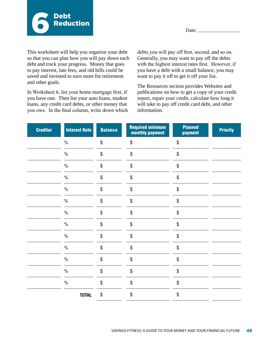Date:



This worksheet will help you organize your debt so that you can plan how you will pay down each debt and track your progress. Money that goes to pay interest, late fees, and old bills could be saved and invested to earn more for retirement and other goals.

In Worksheet 6, list your home mortgage first, if you have one. Then list your auto loans, student loans, any credit card debts, or other money that you owe. In the final column, write down which

debts you will pay off first, second, and so on. Generally, you may want to pay off the debts with the highest interest rates first. However, if you have a debt with a small balance, you may want to pay it off to get it off your list.

The Resources section provides Websites and publications on how to get a copy of your credit report, repair your credit, calculate how long it will take to pay off credit card debt, and other information.

| <b>Creditor</b> | <b>Interest Rate</b> | <b>Balance</b> | <b>Required minimum</b><br>monthly payment | <b>Planned</b><br>payment | <b>Priority</b> |
|-----------------|----------------------|----------------|--------------------------------------------|---------------------------|-----------------|
|                 | $\frac{0}{0}$        | \$             | \$                                         | \$                        |                 |
|                 | $\%$                 | \$             | \$                                         | \$                        |                 |
|                 | $\frac{0}{0}$        | \$             | \$                                         | \$                        |                 |
|                 | $\frac{0}{0}$        | \$             | \$                                         | \$                        |                 |
|                 | $\frac{0}{0}$        | \$             | \$                                         | \$                        |                 |
|                 | $\frac{0}{0}$        | \$             | \$                                         | \$                        |                 |
|                 | $\frac{0}{0}$        | \$             | \$                                         | \$                        |                 |
|                 | $\frac{0}{0}$        | \$             | \$                                         | \$                        |                 |
|                 | $\frac{0}{0}$        | \$             | \$                                         | \$                        |                 |
|                 | $\frac{0}{0}$        | \$             | \$                                         | \$                        |                 |
|                 | $\frac{0}{0}$        | \$             | \$                                         | \$                        |                 |
|                 | $\frac{0}{0}$        | \$             | \$                                         | \$                        |                 |
|                 | $\frac{0}{0}$        | \$             | \$                                         | \$                        |                 |
|                 | <b>TOTAL</b>         | \$             | \$                                         | \$                        |                 |